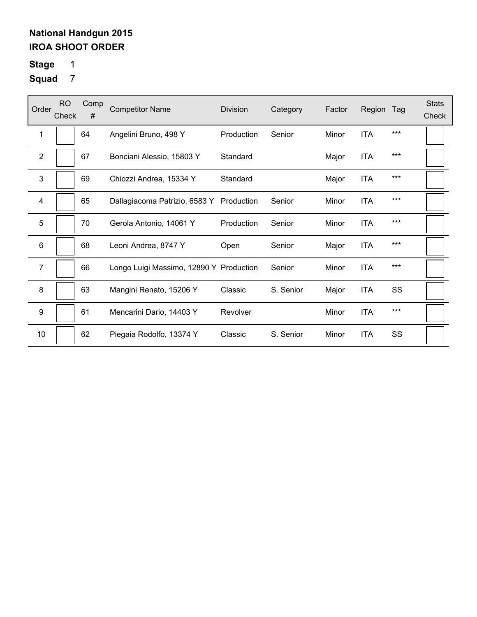# **Stage** 1

| Order          | <b>RO</b><br>Check | Comp<br># | <b>Competitor Name</b>                   | <b>Division</b> | Category  | Factor | Region     | Tag | <b>Stats</b><br>Check |
|----------------|--------------------|-----------|------------------------------------------|-----------------|-----------|--------|------------|-----|-----------------------|
| 1              |                    | 64        | Angelini Bruno, 498 Y                    | Production      | Senior    | Minor  | <b>ITA</b> | *** |                       |
| $\overline{2}$ |                    | 67        | Bonciani Alessio, 15803 Y                | Standard        |           | Major  | <b>ITA</b> | *** |                       |
| 3              |                    | 69        | Chiozzi Andrea, 15334 Y                  | Standard        |           | Major  | <b>ITA</b> | *** |                       |
| $\overline{4}$ |                    | 65        | Dallagiacoma Patrizio, 6583 Y Production |                 | Senior    | Minor  | <b>ITA</b> | *** |                       |
| 5              |                    | 70        | Gerola Antonio, 14061 Y                  | Production      | Senior    | Minor  | <b>ITA</b> | *** |                       |
| 6              |                    | 68        | Leoni Andrea, 8747 Y                     | Open            | Senior    | Major  | <b>ITA</b> | *** |                       |
| 7              |                    | 66        | Longo Luigi Massimo, 12890 Y Production  |                 | Senior    | Minor  | <b>ITA</b> | *** |                       |
| 8              |                    | 63        | Mangini Renato, 15206 Y                  | Classic         | S. Senior | Major  | <b>ITA</b> | SS  |                       |
| 9              |                    | 61        | Mencarini Dario, 14403 Y                 | Revolver        |           | Minor  | <b>ITA</b> | *** |                       |
| 10             |                    | 62        | Piegaia Rodolfo, 13374 Y                 | Classic         | S. Senior | Minor  | <b>ITA</b> | SS  |                       |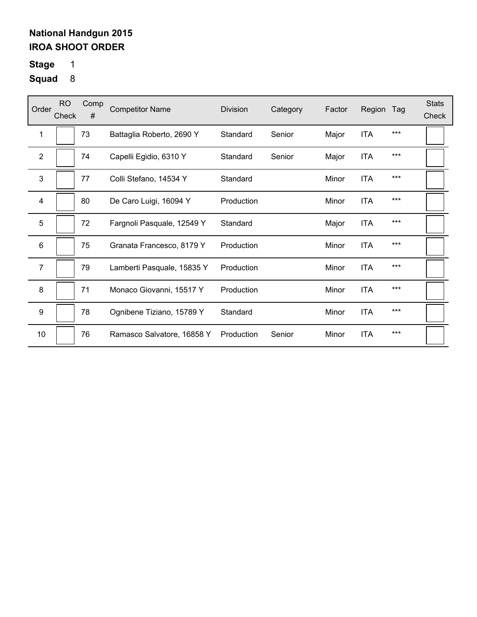# **Stage** 1

| Order           | RO.<br>Check | Comp<br># | <b>Competitor Name</b>     | Division   | Category | Factor | Region     | Tag   | <b>Stats</b><br>Check |
|-----------------|--------------|-----------|----------------------------|------------|----------|--------|------------|-------|-----------------------|
| 1               |              | 73        | Battaglia Roberto, 2690 Y  | Standard   | Senior   | Major  | <b>ITA</b> | ***   |                       |
| $\overline{2}$  |              | 74        | Capelli Egidio, 6310 Y     | Standard   | Senior   | Major  | <b>ITA</b> | $***$ |                       |
| 3               |              | 77        | Colli Stefano, 14534 Y     | Standard   |          | Minor  | <b>ITA</b> | $***$ |                       |
| 4               |              | 80        | De Caro Luigi, 16094 Y     | Production |          | Minor  | <b>ITA</b> | $***$ |                       |
| 5               |              | 72        | Fargnoli Pasquale, 12549 Y | Standard   |          | Major  | <b>ITA</b> | ***   |                       |
| $6\phantom{1}6$ |              | 75        | Granata Francesco, 8179 Y  | Production |          | Minor  | <b>ITA</b> | $***$ |                       |
| $\overline{7}$  |              | 79        | Lamberti Pasquale, 15835 Y | Production |          | Minor  | <b>ITA</b> | $***$ |                       |
| 8               |              | 71        | Monaco Giovanni, 15517 Y   | Production |          | Minor  | <b>ITA</b> | $***$ |                       |
| 9               |              | 78        | Ognibene Tiziano, 15789 Y  | Standard   |          | Minor  | <b>ITA</b> | $***$ |                       |
| 10              |              | 76        | Ramasco Salvatore, 16858 Y | Production | Senior   | Minor  | <b>ITA</b> | $***$ |                       |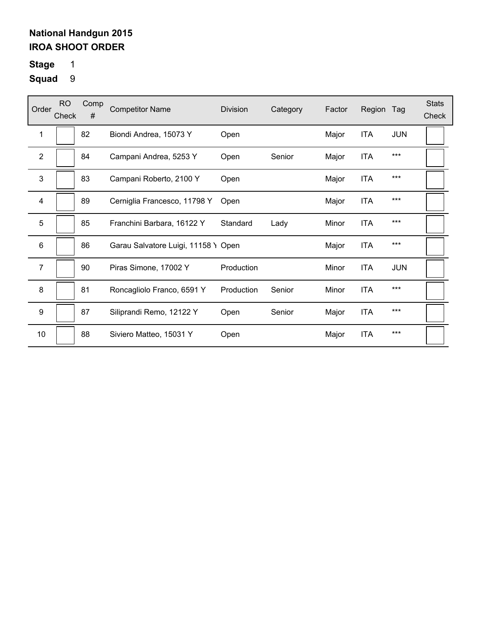# **Stage** 1

| Order            | <b>RO</b><br>Check | Comp<br># | <b>Competitor Name</b>              | <b>Division</b> | Category | Factor | Region     | Tag        | <b>Stats</b><br>Check |
|------------------|--------------------|-----------|-------------------------------------|-----------------|----------|--------|------------|------------|-----------------------|
| 1                |                    | 82        | Biondi Andrea, 15073 Y              | Open            |          | Major  | <b>ITA</b> | <b>JUN</b> |                       |
| 2                |                    | 84        | Campani Andrea, 5253 Y              | Open            | Senior   | Major  | <b>ITA</b> | $***$      |                       |
| 3                |                    | 83        | Campani Roberto, 2100 Y             | Open            |          | Major  | <b>ITA</b> | $***$      |                       |
| 4                |                    | 89        | Cerniglia Francesco, 11798 Y        | Open            |          | Major  | <b>ITA</b> | $***$      |                       |
| 5                |                    | 85        | Franchini Barbara, 16122 Y          | Standard        | Lady     | Minor  | <b>ITA</b> | $***$      |                       |
| 6                |                    | 86        | Garau Salvatore Luigi, 11158 Y Open |                 |          | Major  | <b>ITA</b> | ***        |                       |
| 7                |                    | 90        | Piras Simone, 17002 Y               | Production      |          | Minor  | <b>ITA</b> | <b>JUN</b> |                       |
| 8                |                    | 81        | Roncagliolo Franco, 6591 Y          | Production      | Senior   | Minor  | <b>ITA</b> | $***$      |                       |
| $\boldsymbol{9}$ |                    | 87        | Siliprandi Remo, 12122 Y            | Open            | Senior   | Major  | <b>ITA</b> | $***$      |                       |
| 10               |                    | 88        | Siviero Matteo, 15031 Y             | Open            |          | Major  | <b>ITA</b> | ***        |                       |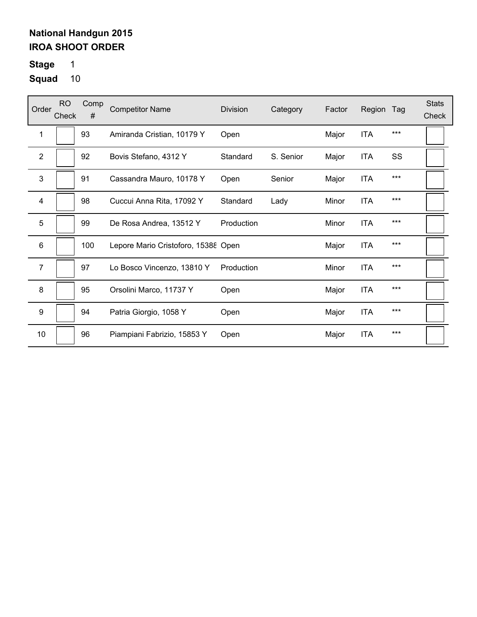**Stage** 1

| Order                   | R <sub>O</sub><br>Check | Comp<br># | <b>Competitor Name</b>              | Division   | Category  | Factor | Region     | Tag   | <b>Stats</b><br>Check |
|-------------------------|-------------------------|-----------|-------------------------------------|------------|-----------|--------|------------|-------|-----------------------|
| 1                       |                         | 93        | Amiranda Cristian, 10179 Y          | Open       |           | Major  | <b>ITA</b> | $***$ |                       |
| $\overline{2}$          |                         | 92        | Bovis Stefano, 4312 Y               | Standard   | S. Senior | Major  | <b>ITA</b> | SS    |                       |
| 3                       |                         | 91        | Cassandra Mauro, 10178 Y            | Open       | Senior    | Major  | <b>ITA</b> | ***   |                       |
| $\overline{\mathbf{4}}$ |                         | 98        | Cuccui Anna Rita, 17092 Y           | Standard   | Lady      | Minor  | <b>ITA</b> | $***$ |                       |
| 5                       |                         | 99        | De Rosa Andrea, 13512 Y             | Production |           | Minor  | <b>ITA</b> | $***$ |                       |
| $6\phantom{1}$          |                         | 100       | Lepore Mario Cristoforo, 15388 Open |            |           | Major  | <b>ITA</b> | ***   |                       |
| 7                       |                         | 97        | Lo Bosco Vincenzo, 13810 Y          | Production |           | Minor  | <b>ITA</b> | $***$ |                       |
| 8                       |                         | 95        | Orsolini Marco, 11737 Y             | Open       |           | Major  | <b>ITA</b> | ***   |                       |
| $\boldsymbol{9}$        |                         | 94        | Patria Giorgio, 1058 Y              | Open       |           | Major  | <b>ITA</b> | $***$ |                       |
| 10                      |                         | 96        | Piampiani Fabrizio, 15853 Y         | Open       |           | Major  | <b>ITA</b> | $***$ |                       |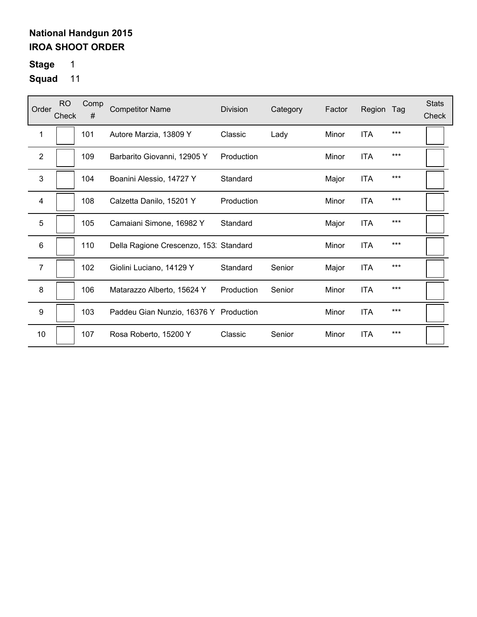# **Stage** 1

| Order                   | <b>RO</b><br>Check | Comp<br># | <b>Competitor Name</b>                 | <b>Division</b> | Category | Factor | Region     | Tag | <b>Stats</b><br>Check |
|-------------------------|--------------------|-----------|----------------------------------------|-----------------|----------|--------|------------|-----|-----------------------|
| 1                       |                    | 101       | Autore Marzia, 13809 Y                 | Classic         | Lady     | Minor  | <b>ITA</b> | *** |                       |
| $\mathbf{2}$            |                    | 109       | Barbarito Giovanni, 12905 Y            | Production      |          | Minor  | <b>ITA</b> | *** |                       |
| 3                       |                    | 104       | Boanini Alessio, 14727 Y               | Standard        |          | Major  | <b>ITA</b> | *** |                       |
| $\overline{\mathbf{4}}$ |                    | 108       | Calzetta Danilo, 15201 Y               | Production      |          | Minor  | <b>ITA</b> | *** |                       |
| 5                       |                    | 105       | Camaiani Simone, 16982 Y               | Standard        |          | Major  | <b>ITA</b> | *** |                       |
| 6                       |                    | 110       | Della Ragione Crescenzo, 153: Standard |                 |          | Minor  | <b>ITA</b> | *** |                       |
| $\overline{7}$          |                    | 102       | Giolini Luciano, 14129 Y               | Standard        | Senior   | Major  | <b>ITA</b> | *** |                       |
| 8                       |                    | 106       | Matarazzo Alberto, 15624 Y             | Production      | Senior   | Minor  | <b>ITA</b> | *** |                       |
| $\boldsymbol{9}$        |                    | 103       | Paddeu Gian Nunzio, 16376 Y Production |                 |          | Minor  | <b>ITA</b> | *** |                       |
| 10                      |                    | 107       | Rosa Roberto, 15200 Y                  | Classic         | Senior   | Minor  | <b>ITA</b> | *** |                       |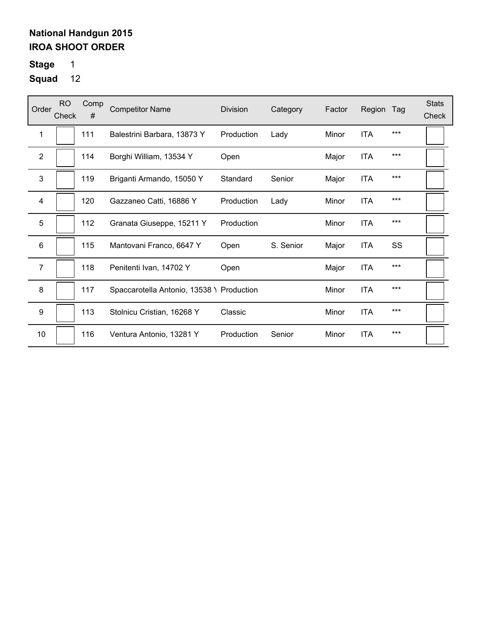**Stage** 1

| Order          | RO.<br>Check | Comp<br># | <b>Competitor Name</b>                    | Division   | Category  | Factor | Region     | Tag   | <b>Stats</b><br>Check |
|----------------|--------------|-----------|-------------------------------------------|------------|-----------|--------|------------|-------|-----------------------|
| 1              |              | 111       | Balestrini Barbara, 13873 Y               | Production | Lady      | Minor  | <b>ITA</b> | ***   |                       |
| $\overline{2}$ |              | 114       | Borghi William, 13534 Y                   | Open       |           | Major  | <b>ITA</b> | $***$ |                       |
| 3              |              | 119       | Briganti Armando, 15050 Y                 | Standard   | Senior    | Major  | <b>ITA</b> | $***$ |                       |
| 4              |              | 120       | Gazzaneo Catti, 16886 Y                   | Production | Lady      | Minor  | <b>ITA</b> | $***$ |                       |
| 5              |              | 112       | Granata Giuseppe, 15211 Y                 | Production |           | Minor  | <b>ITA</b> | ***   |                       |
| 6              |              | 115       | Mantovani Franco, 6647 Y                  | Open       | S. Senior | Major  | <b>ITA</b> | SS    |                       |
| $\overline{7}$ |              | 118       | Penitenti Ivan, 14702 Y                   | Open       |           | Major  | <b>ITA</b> | $***$ |                       |
| 8              |              | 117       | Spaccarotella Antonio, 13538 \ Production |            |           | Minor  | <b>ITA</b> | $***$ |                       |
| 9              |              | 113       | Stolnicu Cristian, 16268 Y                | Classic    |           | Minor  | <b>ITA</b> | $***$ |                       |
| 10             |              | 116       | Ventura Antonio, 13281 Y                  | Production | Senior    | Minor  | <b>ITA</b> | $***$ |                       |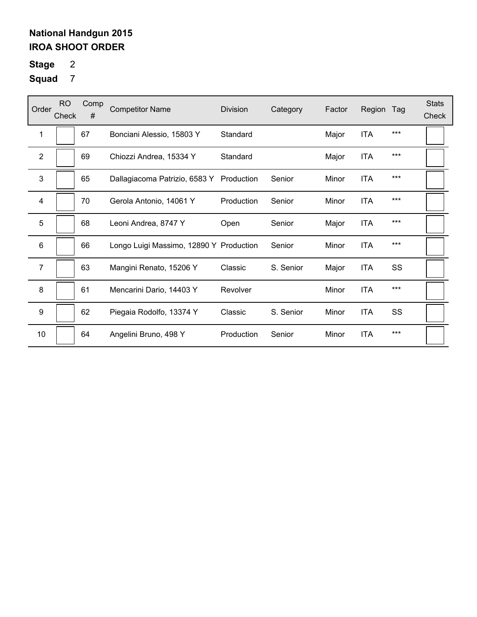# **Stage** 2

| Order          | <b>RO</b><br>Check | Comp<br># | <b>Competitor Name</b>                  | <b>Division</b> | Category  | Factor | Region     | Tag   | <b>Stats</b><br>Check |
|----------------|--------------------|-----------|-----------------------------------------|-----------------|-----------|--------|------------|-------|-----------------------|
| 1              |                    | 67        | Bonciani Alessio, 15803 Y               | Standard        |           | Major  | <b>ITA</b> | $***$ |                       |
| 2              |                    | 69        | Chiozzi Andrea, 15334 Y                 | Standard        |           | Major  | <b>ITA</b> | $***$ |                       |
| 3              |                    | 65        | Dallagiacoma Patrizio, 6583 Y           | Production      | Senior    | Minor  | <b>ITA</b> | ***   |                       |
| 4              |                    | 70        | Gerola Antonio, 14061 Y                 | Production      | Senior    | Minor  | <b>ITA</b> | $***$ |                       |
| 5              |                    | 68        | Leoni Andrea, 8747 Y                    | Open            | Senior    | Major  | <b>ITA</b> | $***$ |                       |
| 6              |                    | 66        | Longo Luigi Massimo, 12890 Y Production |                 | Senior    | Minor  | <b>ITA</b> | ***   |                       |
| $\overline{7}$ |                    | 63        | Mangini Renato, 15206 Y                 | Classic         | S. Senior | Major  | <b>ITA</b> | SS    |                       |
| 8              |                    | 61        | Mencarini Dario, 14403 Y                | Revolver        |           | Minor  | <b>ITA</b> | ***   |                       |
| 9              |                    | 62        | Piegaia Rodolfo, 13374 Y                | Classic         | S. Senior | Minor  | <b>ITA</b> | SS    |                       |
| 10             |                    | 64        | Angelini Bruno, 498 Y                   | Production      | Senior    | Minor  | <b>ITA</b> | $***$ |                       |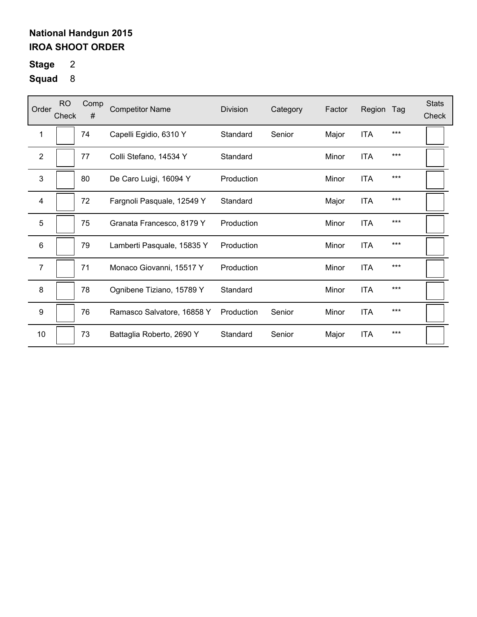# **Stage** 2

| Order          | <b>RO</b><br>Check | Comp<br># | <b>Competitor Name</b>     | <b>Division</b> | Category | Factor | Region     | Tag   | <b>Stats</b><br>Check |
|----------------|--------------------|-----------|----------------------------|-----------------|----------|--------|------------|-------|-----------------------|
| 1              |                    | 74        | Capelli Egidio, 6310 Y     | Standard        | Senior   | Major  | <b>ITA</b> | $***$ |                       |
| $\overline{2}$ |                    | 77        | Colli Stefano, 14534 Y     | Standard        |          | Minor  | <b>ITA</b> | $***$ |                       |
| 3              |                    | 80        | De Caro Luigi, 16094 Y     | Production      |          | Minor  | <b>ITA</b> | $***$ |                       |
| 4              |                    | 72        | Fargnoli Pasquale, 12549 Y | Standard        |          | Major  | <b>ITA</b> | $***$ |                       |
| 5              |                    | 75        | Granata Francesco, 8179 Y  | Production      |          | Minor  | <b>ITA</b> | $***$ |                       |
| 6              |                    | 79        | Lamberti Pasquale, 15835 Y | Production      |          | Minor  | <b>ITA</b> | ***   |                       |
| $\overline{7}$ |                    | 71        | Monaco Giovanni, 15517 Y   | Production      |          | Minor  | <b>ITA</b> | $***$ |                       |
| 8              |                    | 78        | Ognibene Tiziano, 15789 Y  | Standard        |          | Minor  | <b>ITA</b> | $***$ |                       |
| 9              |                    | 76        | Ramasco Salvatore, 16858 Y | Production      | Senior   | Minor  | <b>ITA</b> | ***   |                       |
| 10             |                    | 73        | Battaglia Roberto, 2690 Y  | Standard        | Senior   | Major  | <b>ITA</b> | $***$ |                       |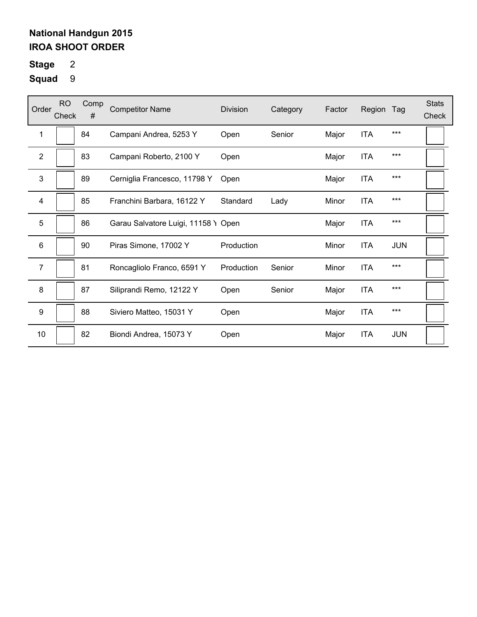# **Stage** 2

| Order            | <b>RO</b><br>Check | Comp<br># | <b>Competitor Name</b>              | Division   | Category | Factor | Region     | Tag        | <b>Stats</b><br>Check |
|------------------|--------------------|-----------|-------------------------------------|------------|----------|--------|------------|------------|-----------------------|
| 1                |                    | 84        | Campani Andrea, 5253 Y              | Open       | Senior   | Major  | <b>ITA</b> | ***        |                       |
| $\mathbf{2}$     |                    | 83        | Campani Roberto, 2100 Y             | Open       |          | Major  | <b>ITA</b> | $***$      |                       |
| 3                |                    | 89        | Cerniglia Francesco, 11798 Y        | Open       |          | Major  | <b>ITA</b> | $***$      |                       |
| 4                |                    | 85        | Franchini Barbara, 16122 Y          | Standard   | Lady     | Minor  | <b>ITA</b> | $***$      |                       |
| 5                |                    | 86        | Garau Salvatore Luigi, 11158 Y Open |            |          | Major  | <b>ITA</b> | $***$      |                       |
| 6                |                    | 90        | Piras Simone, 17002 Y               | Production |          | Minor  | <b>ITA</b> | <b>JUN</b> |                       |
| 7                |                    | 81        | Roncagliolo Franco, 6591 Y          | Production | Senior   | Minor  | <b>ITA</b> | $***$      |                       |
| 8                |                    | 87        | Siliprandi Remo, 12122 Y            | Open       | Senior   | Major  | <b>ITA</b> | $***$      |                       |
| $\boldsymbol{9}$ |                    | 88        | Siviero Matteo, 15031 Y             | Open       |          | Major  | <b>ITA</b> | $***$      |                       |
| $10$             |                    | 82        | Biondi Andrea, 15073 Y              | Open       |          | Major  | <b>ITA</b> | <b>JUN</b> |                       |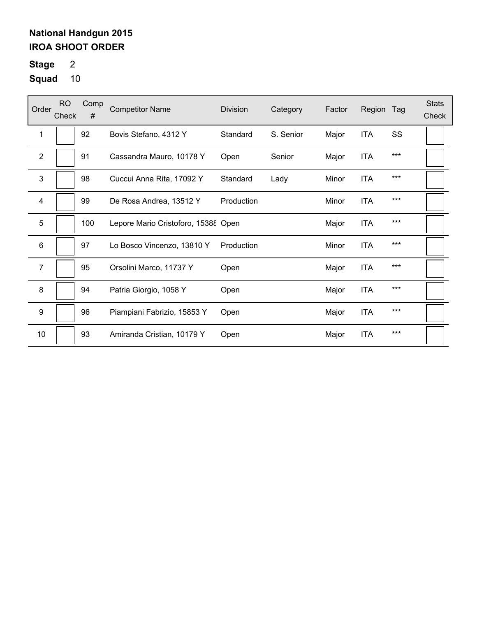# **Stage** 2

| Order          | <b>RO</b><br>Check | Comp<br># | <b>Competitor Name</b>              | <b>Division</b> | Category  | Factor | Region     | Tag | <b>Stats</b><br>Check |
|----------------|--------------------|-----------|-------------------------------------|-----------------|-----------|--------|------------|-----|-----------------------|
| 1              |                    | 92        | Bovis Stefano, 4312 Y               | Standard        | S. Senior | Major  | <b>ITA</b> | SS  |                       |
| $\overline{2}$ |                    | 91        | Cassandra Mauro, 10178 Y            | Open            | Senior    | Major  | <b>ITA</b> | *** |                       |
| 3              |                    | 98        | Cuccui Anna Rita, 17092 Y           | Standard        | Lady      | Minor  | <b>ITA</b> | *** |                       |
| 4              |                    | 99        | De Rosa Andrea, 13512 Y             | Production      |           | Minor  | <b>ITA</b> | *** |                       |
| 5              |                    | 100       | Lepore Mario Cristoforo, 15388 Open |                 |           | Major  | <b>ITA</b> | *** |                       |
| 6              |                    | 97        | Lo Bosco Vincenzo, 13810 Y          | Production      |           | Minor  | <b>ITA</b> | *** |                       |
| 7              |                    | 95        | Orsolini Marco, 11737 Y             | Open            |           | Major  | <b>ITA</b> | *** |                       |
| 8              |                    | 94        | Patria Giorgio, 1058 Y              | Open            |           | Major  | <b>ITA</b> | *** |                       |
| 9              |                    | 96        | Piampiani Fabrizio, 15853 Y         | Open            |           | Major  | <b>ITA</b> | *** |                       |
| 10             |                    | 93        | Amiranda Cristian, 10179 Y          | Open            |           | Major  | <b>ITA</b> | *** |                       |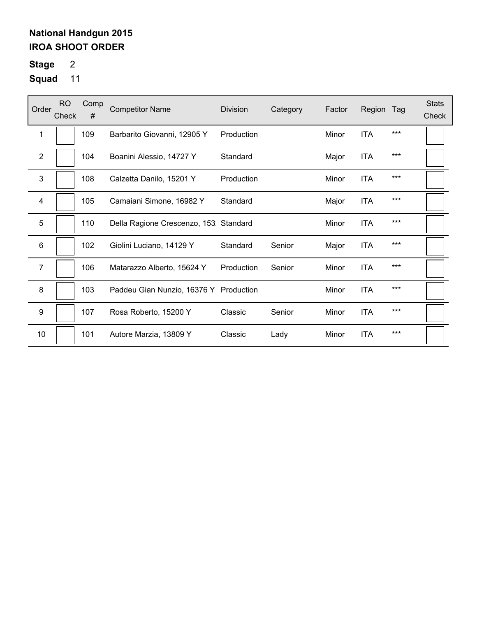# **Stage** 2

| Order                   | <b>RO</b><br>Check | Comp<br># | <b>Competitor Name</b>                 | <b>Division</b> | Category | Factor | Region     | Tag | <b>Stats</b><br>Check |
|-------------------------|--------------------|-----------|----------------------------------------|-----------------|----------|--------|------------|-----|-----------------------|
| 1                       |                    | 109       | Barbarito Giovanni, 12905 Y            | Production      |          | Minor  | <b>ITA</b> | *** |                       |
| $\overline{2}$          |                    | 104       | Boanini Alessio, 14727 Y               | Standard        |          | Major  | <b>ITA</b> | *** |                       |
| 3                       |                    | 108       | Calzetta Danilo, 15201 Y               | Production      |          | Minor  | <b>ITA</b> | *** |                       |
| $\overline{\mathbf{4}}$ |                    | 105       | Camaiani Simone, 16982 Y               | Standard        |          | Major  | <b>ITA</b> | *** |                       |
| 5                       |                    | 110       | Della Ragione Crescenzo, 153: Standard |                 |          | Minor  | <b>ITA</b> | *** |                       |
| 6                       |                    | 102       | Giolini Luciano, 14129 Y               | Standard        | Senior   | Major  | <b>ITA</b> | *** |                       |
| $\overline{7}$          |                    | 106       | Matarazzo Alberto, 15624 Y             | Production      | Senior   | Minor  | <b>ITA</b> | *** |                       |
| 8                       |                    | 103       | Paddeu Gian Nunzio, 16376 Y Production |                 |          | Minor  | <b>ITA</b> | *** |                       |
| $\boldsymbol{9}$        |                    | 107       | Rosa Roberto, 15200 Y                  | Classic         | Senior   | Minor  | <b>ITA</b> | *** |                       |
| 10                      |                    | 101       | Autore Marzia, 13809 Y                 | Classic         | Lady     | Minor  | <b>ITA</b> | *** |                       |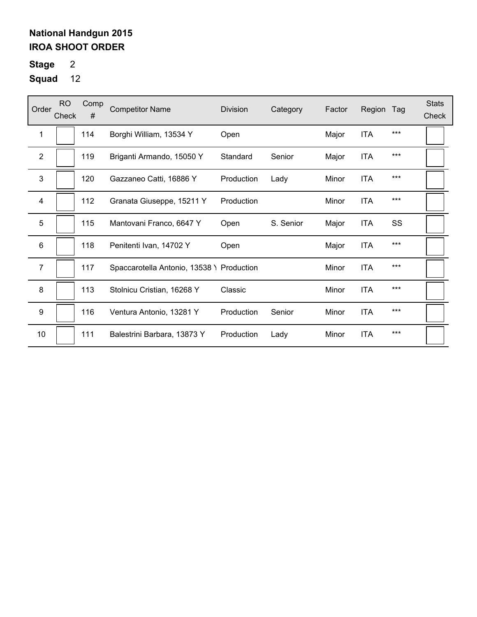# **Stage** 2

| Order            | <b>RO</b><br>Check | Comp<br># | <b>Competitor Name</b>                    | <b>Division</b> | Category  | Factor | Region     | Tag | <b>Stats</b><br>Check |
|------------------|--------------------|-----------|-------------------------------------------|-----------------|-----------|--------|------------|-----|-----------------------|
| 1                |                    | 114       | Borghi William, 13534 Y                   | Open            |           | Major  | <b>ITA</b> | *** |                       |
| $\overline{2}$   |                    | 119       | Briganti Armando, 15050 Y                 | Standard        | Senior    | Major  | <b>ITA</b> | *** |                       |
| $\mathbf{3}$     |                    | 120       | Gazzaneo Catti, 16886 Y                   | Production      | Lady      | Minor  | <b>ITA</b> | *** |                       |
| 4                |                    | 112       | Granata Giuseppe, 15211 Y                 | Production      |           | Minor  | <b>ITA</b> | *** |                       |
| 5                |                    | 115       | Mantovani Franco, 6647 Y                  | Open            | S. Senior | Major  | <b>ITA</b> | SS  |                       |
| 6                |                    | 118       | Penitenti Ivan, 14702 Y                   | Open            |           | Major  | <b>ITA</b> | *** |                       |
| 7                |                    | 117       | Spaccarotella Antonio, 13538 \ Production |                 |           | Minor  | <b>ITA</b> | *** |                       |
| 8                |                    | 113       | Stolnicu Cristian, 16268 Y                | Classic         |           | Minor  | <b>ITA</b> | *** |                       |
| $\boldsymbol{9}$ |                    | 116       | Ventura Antonio, 13281 Y                  | Production      | Senior    | Minor  | <b>ITA</b> | *** |                       |
| 10               |                    | 111       | Balestrini Barbara, 13873 Y               | Production      | Lady      | Minor  | <b>ITA</b> | *** |                       |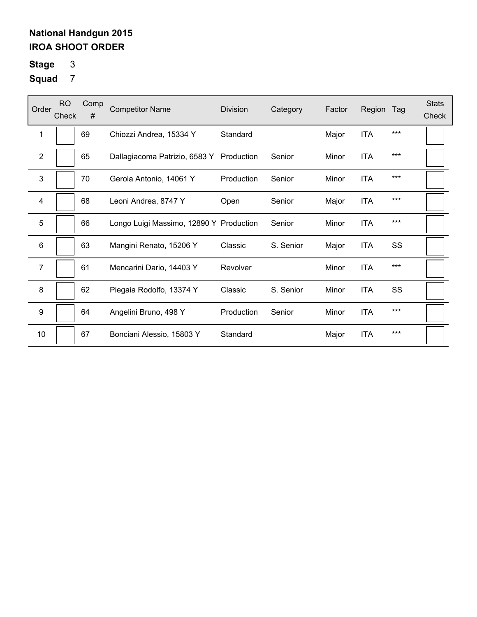# **Stage** 3

| Order            | <b>RO</b><br>Check | Comp<br># | <b>Competitor Name</b>                   | <b>Division</b> | Category  | Factor | Region     | Tag | <b>Stats</b><br>Check |
|------------------|--------------------|-----------|------------------------------------------|-----------------|-----------|--------|------------|-----|-----------------------|
| 1                |                    | 69        | Chiozzi Andrea, 15334 Y                  | Standard        |           | Major  | <b>ITA</b> | *** |                       |
| $\overline{2}$   |                    | 65        | Dallagiacoma Patrizio, 6583 Y Production |                 | Senior    | Minor  | <b>ITA</b> | *** |                       |
| 3                |                    | 70        | Gerola Antonio, 14061 Y                  | Production      | Senior    | Minor  | <b>ITA</b> | *** |                       |
| 4                |                    | 68        | Leoni Andrea, 8747 Y                     | Open            | Senior    | Major  | <b>ITA</b> | *** |                       |
| 5                |                    | 66        | Longo Luigi Massimo, 12890 Y Production  |                 | Senior    | Minor  | <b>ITA</b> | *** |                       |
| 6                |                    | 63        | Mangini Renato, 15206 Y                  | Classic         | S. Senior | Major  | <b>ITA</b> | SS  |                       |
| $\overline{7}$   |                    | 61        | Mencarini Dario, 14403 Y                 | Revolver        |           | Minor  | <b>ITA</b> | *** |                       |
| 8                |                    | 62        | Piegaia Rodolfo, 13374 Y                 | Classic         | S. Senior | Minor  | <b>ITA</b> | SS  |                       |
| $\boldsymbol{9}$ |                    | 64        | Angelini Bruno, 498 Y                    | Production      | Senior    | Minor  | <b>ITA</b> | *** |                       |
| 10               |                    | 67        | Bonciani Alessio, 15803 Y                | Standard        |           | Major  | <b>ITA</b> | *** |                       |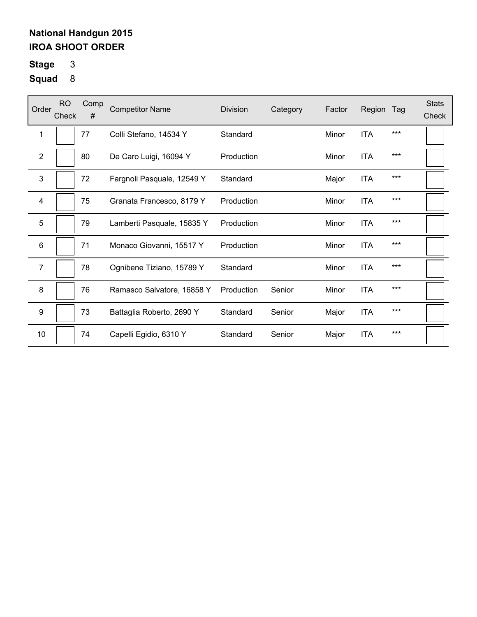# **Stage** 3

| Order          | <b>RO</b><br>Check | Comp<br># | <b>Competitor Name</b>     | Division   | Category | Factor | Region     | Tag   | <b>Stats</b><br>Check |
|----------------|--------------------|-----------|----------------------------|------------|----------|--------|------------|-------|-----------------------|
| 1              |                    | 77        | Colli Stefano, 14534 Y     | Standard   |          | Minor  | <b>ITA</b> | $***$ |                       |
| $\overline{2}$ |                    | 80        | De Caro Luigi, 16094 Y     | Production |          | Minor  | <b>ITA</b> | $***$ |                       |
| 3              |                    | 72        | Fargnoli Pasquale, 12549 Y | Standard   |          | Major  | <b>ITA</b> | $***$ |                       |
| 4              |                    | 75        | Granata Francesco, 8179 Y  | Production |          | Minor  | <b>ITA</b> | $***$ |                       |
| 5              |                    | 79        | Lamberti Pasquale, 15835 Y | Production |          | Minor  | <b>ITA</b> | $***$ |                       |
| 6              |                    | 71        | Monaco Giovanni, 15517 Y   | Production |          | Minor  | <b>ITA</b> | ***   |                       |
| $\overline{7}$ |                    | 78        | Ognibene Tiziano, 15789 Y  | Standard   |          | Minor  | <b>ITA</b> | $***$ |                       |
| 8              |                    | 76        | Ramasco Salvatore, 16858 Y | Production | Senior   | Minor  | <b>ITA</b> | $***$ |                       |
| 9              |                    | 73        | Battaglia Roberto, 2690 Y  | Standard   | Senior   | Major  | <b>ITA</b> | ***   |                       |
| 10             |                    | 74        | Capelli Egidio, 6310 Y     | Standard   | Senior   | Major  | <b>ITA</b> | $***$ |                       |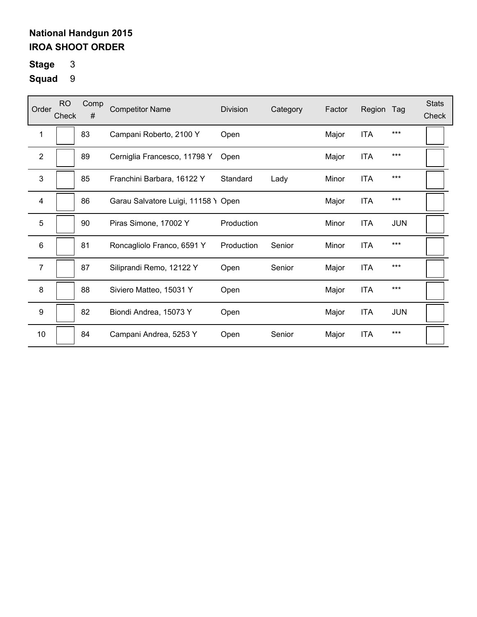**Stage** 3

| Order                   | <b>RO</b><br>Check | Comp<br># | <b>Competitor Name</b>              | Division   | Category | Factor | Region     | Tag        | <b>Stats</b><br>Check |
|-------------------------|--------------------|-----------|-------------------------------------|------------|----------|--------|------------|------------|-----------------------|
| 1                       |                    | 83        | Campani Roberto, 2100 Y             | Open       |          | Major  | <b>ITA</b> | $***$      |                       |
| $\boldsymbol{2}$        |                    | 89        | Cerniglia Francesco, 11798 Y        | Open       |          | Major  | <b>ITA</b> | $***$      |                       |
| $\mathfrak{S}$          |                    | 85        | Franchini Barbara, 16122 Y          | Standard   | Lady     | Minor  | <b>ITA</b> | $***$      |                       |
| $\overline{\mathbf{4}}$ |                    | 86        | Garau Salvatore Luigi, 11158 Y Open |            |          | Major  | <b>ITA</b> | $***$      |                       |
| 5                       |                    | 90        | Piras Simone, 17002 Y               | Production |          | Minor  | <b>ITA</b> | <b>JUN</b> |                       |
| $6\phantom{1}$          |                    | 81        | Roncagliolo Franco, 6591 Y          | Production | Senior   | Minor  | <b>ITA</b> | $***$      |                       |
| 7                       |                    | 87        | Siliprandi Remo, 12122 Y            | Open       | Senior   | Major  | <b>ITA</b> | $***$      |                       |
| 8                       |                    | 88        | Siviero Matteo, 15031 Y             | Open       |          | Major  | <b>ITA</b> | $***$      |                       |
| 9                       |                    | 82        | Biondi Andrea, 15073 Y              | Open       |          | Major  | <b>ITA</b> | <b>JUN</b> |                       |
| 10                      |                    | 84        | Campani Andrea, 5253 Y              | Open       | Senior   | Major  | <b>ITA</b> | ***        |                       |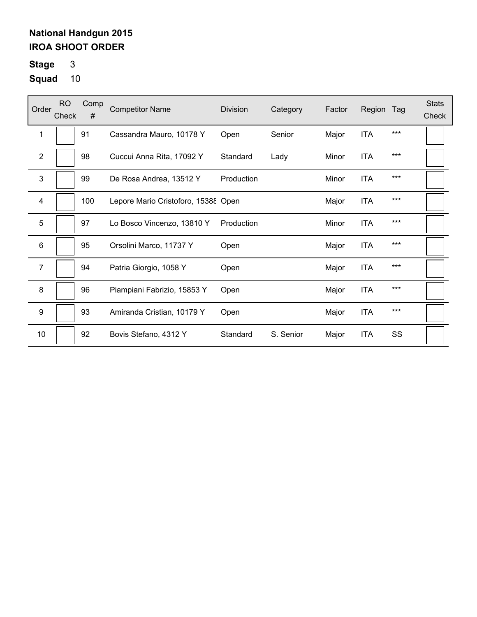**Stage** 3

| Order            | <b>RO</b><br>Check | Comp<br># | <b>Competitor Name</b>              | <b>Division</b> | Category  | Factor | Region     | Tag   | <b>Stats</b><br>Check |
|------------------|--------------------|-----------|-------------------------------------|-----------------|-----------|--------|------------|-------|-----------------------|
| 1                |                    | 91        | Cassandra Mauro, 10178 Y            | Open            | Senior    | Major  | <b>ITA</b> | $***$ |                       |
| $\overline{2}$   |                    | 98        | Cuccui Anna Rita, 17092 Y           | Standard        | Lady      | Minor  | <b>ITA</b> | $***$ |                       |
| 3                |                    | 99        | De Rosa Andrea, 13512 Y             | Production      |           | Minor  | <b>ITA</b> | $***$ |                       |
| $\overline{4}$   |                    | 100       | Lepore Mario Cristoforo, 15388 Open |                 |           | Major  | <b>ITA</b> | $***$ |                       |
| 5                |                    | 97        | Lo Bosco Vincenzo, 13810 Y          | Production      |           | Minor  | <b>ITA</b> | $***$ |                       |
| 6                |                    | 95        | Orsolini Marco, 11737 Y             | Open            |           | Major  | <b>ITA</b> | ***   |                       |
| $\overline{7}$   |                    | 94        | Patria Giorgio, 1058 Y              | Open            |           | Major  | <b>ITA</b> | $***$ |                       |
| 8                |                    | 96        | Piampiani Fabrizio, 15853 Y         | Open            |           | Major  | <b>ITA</b> | $***$ |                       |
| $\boldsymbol{9}$ |                    | 93        | Amiranda Cristian, 10179 Y          | Open            |           | Major  | <b>ITA</b> | $***$ |                       |
| 10               |                    | 92        | Bovis Stefano, 4312 Y               | Standard        | S. Senior | Major  | <b>ITA</b> | SS    |                       |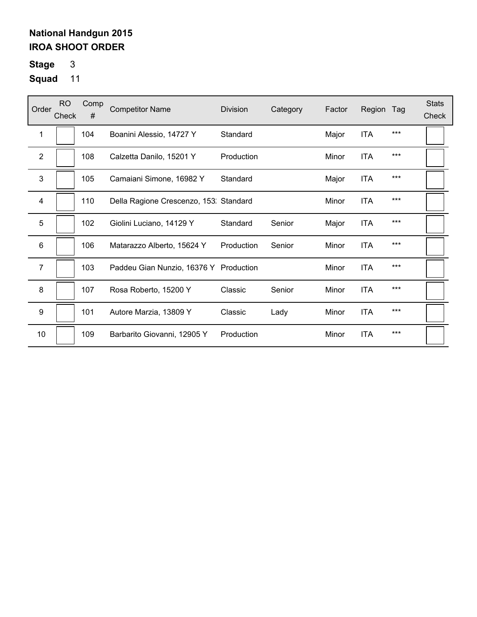# **Stage** 3

| Order          | <b>RO</b><br>Check | Comp<br># | <b>Competitor Name</b>                 | <b>Division</b> | Category | Factor | Region     | Tag   | <b>Stats</b><br>Check |
|----------------|--------------------|-----------|----------------------------------------|-----------------|----------|--------|------------|-------|-----------------------|
| 1              |                    | 104       | Boanini Alessio, 14727 Y               | Standard        |          | Major  | <b>ITA</b> | $***$ |                       |
| $\overline{2}$ |                    | 108       | Calzetta Danilo, 15201 Y               | Production      |          | Minor  | <b>ITA</b> | $***$ |                       |
| 3              |                    | 105       | Camaiani Simone, 16982 Y               | Standard        |          | Major  | <b>ITA</b> | $***$ |                       |
| $\overline{4}$ |                    | 110       | Della Ragione Crescenzo, 153. Standard |                 |          | Minor  | <b>ITA</b> | ***   |                       |
| 5              |                    | 102       | Giolini Luciano, 14129 Y               | Standard        | Senior   | Major  | <b>ITA</b> | $***$ |                       |
| 6              |                    | 106       | Matarazzo Alberto, 15624 Y             | Production      | Senior   | Minor  | <b>ITA</b> | $***$ |                       |
| $\overline{7}$ |                    | 103       | Paddeu Gian Nunzio, 16376 Y Production |                 |          | Minor  | <b>ITA</b> | $***$ |                       |
| 8              |                    | 107       | Rosa Roberto, 15200 Y                  | Classic         | Senior   | Minor  | <b>ITA</b> | $***$ |                       |
| 9              |                    | 101       | Autore Marzia, 13809 Y                 | Classic         | Lady     | Minor  | <b>ITA</b> | ***   |                       |
| 10             |                    | 109       | Barbarito Giovanni, 12905 Y            | Production      |          | Minor  | <b>ITA</b> | $***$ |                       |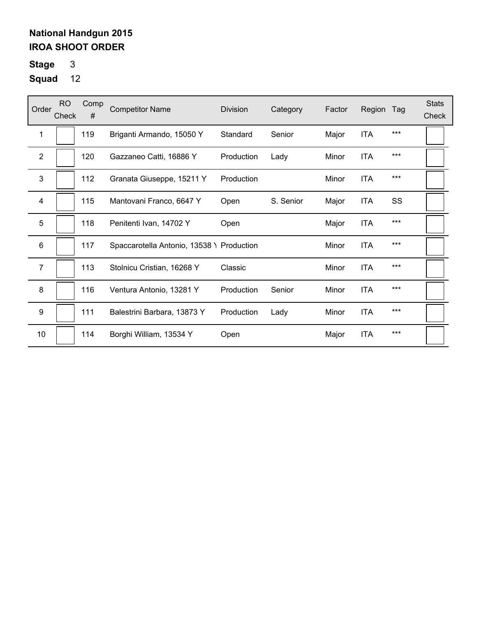**Stage** 3

| Order            | <b>RO</b><br>Check | Comp<br># | <b>Competitor Name</b>                    | <b>Division</b> | Category  | Factor | Region     | Tag   | <b>Stats</b><br>Check |
|------------------|--------------------|-----------|-------------------------------------------|-----------------|-----------|--------|------------|-------|-----------------------|
| 1                |                    | 119       | Briganti Armando, 15050 Y                 | Standard        | Senior    | Major  | <b>ITA</b> | ***   |                       |
| 2                |                    | 120       | Gazzaneo Catti, 16886 Y                   | Production      | Lady      | Minor  | <b>ITA</b> | $***$ |                       |
| $\mathbf{3}$     |                    | 112       | Granata Giuseppe, 15211 Y                 | Production      |           | Minor  | <b>ITA</b> | ***   |                       |
| $\overline{4}$   |                    | 115       | Mantovani Franco, 6647 Y                  | Open            | S. Senior | Major  | <b>ITA</b> | SS    |                       |
| 5                |                    | 118       | Penitenti Ivan, 14702 Y                   | Open            |           | Major  | <b>ITA</b> | ***   |                       |
| $6\phantom{1}$   |                    | 117       | Spaccarotella Antonio, 13538 \ Production |                 |           | Minor  | <b>ITA</b> | ***   |                       |
| $\overline{7}$   |                    | 113       | Stolnicu Cristian, 16268 Y                | Classic         |           | Minor  | <b>ITA</b> | ***   |                       |
| 8                |                    | 116       | Ventura Antonio, 13281 Y                  | Production      | Senior    | Minor  | <b>ITA</b> | ***   |                       |
| $\boldsymbol{9}$ |                    | 111       | Balestrini Barbara, 13873 Y               | Production      | Lady      | Minor  | <b>ITA</b> | ***   |                       |
| 10               |                    | 114       | Borghi William, 13534 Y                   | Open            |           | Major  | <b>ITA</b> | ***   |                       |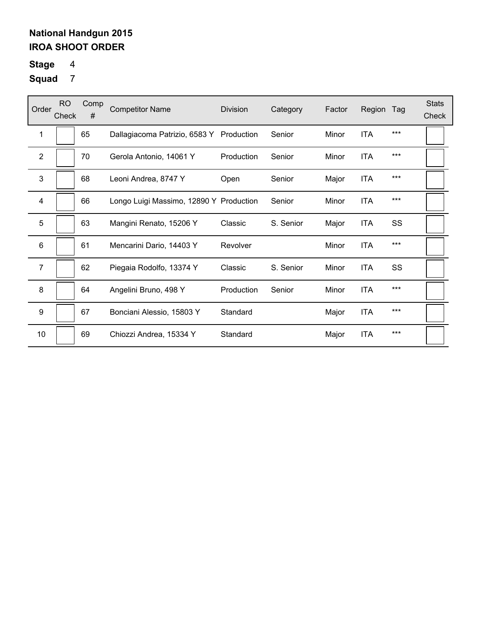# **Stage** 4

| Order            | <b>RO</b><br>Check | Comp<br># | <b>Competitor Name</b>                   | <b>Division</b> | Category  | Factor | Region     | Tag | <b>Stats</b><br>Check |
|------------------|--------------------|-----------|------------------------------------------|-----------------|-----------|--------|------------|-----|-----------------------|
| 1                |                    | 65        | Dallagiacoma Patrizio, 6583 Y Production |                 | Senior    | Minor  | <b>ITA</b> | *** |                       |
| $\overline{2}$   |                    | 70        | Gerola Antonio, 14061 Y                  | Production      | Senior    | Minor  | <b>ITA</b> | *** |                       |
| 3                |                    | 68        | Leoni Andrea, 8747 Y                     | Open            | Senior    | Major  | <b>ITA</b> | *** |                       |
| 4                |                    | 66        | Longo Luigi Massimo, 12890 Y Production  |                 | Senior    | Minor  | <b>ITA</b> | *** |                       |
| 5                |                    | 63        | Mangini Renato, 15206 Y                  | Classic         | S. Senior | Major  | <b>ITA</b> | SS  |                       |
| 6                |                    | 61        | Mencarini Dario, 14403 Y                 | Revolver        |           | Minor  | <b>ITA</b> | *** |                       |
| $\overline{7}$   |                    | 62        | Piegaia Rodolfo, 13374 Y                 | Classic         | S. Senior | Minor  | <b>ITA</b> | SS  |                       |
| 8                |                    | 64        | Angelini Bruno, 498 Y                    | Production      | Senior    | Minor  | <b>ITA</b> | *** |                       |
| $\boldsymbol{9}$ |                    | 67        | Bonciani Alessio, 15803 Y                | Standard        |           | Major  | <b>ITA</b> | *** |                       |
| 10               |                    | 69        | Chiozzi Andrea, 15334 Y                  | Standard        |           | Major  | <b>ITA</b> | *** |                       |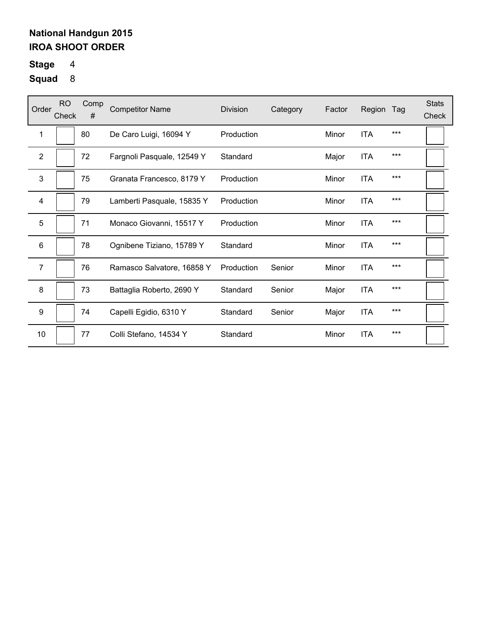# **Stage** 4

| Order            | <b>RO</b><br>Check | Comp<br># | <b>Competitor Name</b>     | <b>Division</b> | Category | Factor | Region     | Tag   | <b>Stats</b><br>Check |
|------------------|--------------------|-----------|----------------------------|-----------------|----------|--------|------------|-------|-----------------------|
| 1                |                    | 80        | De Caro Luigi, 16094 Y     | Production      |          | Minor  | <b>ITA</b> | $***$ |                       |
| $\mathbf{2}$     |                    | 72        | Fargnoli Pasquale, 12549 Y | Standard        |          | Major  | <b>ITA</b> | $***$ |                       |
| 3                |                    | 75        | Granata Francesco, 8179 Y  | Production      |          | Minor  | <b>ITA</b> | $***$ |                       |
| 4                |                    | 79        | Lamberti Pasquale, 15835 Y | Production      |          | Minor  | <b>ITA</b> | $***$ |                       |
| 5                |                    | 71        | Monaco Giovanni, 15517 Y   | Production      |          | Minor  | <b>ITA</b> | $***$ |                       |
| 6                |                    | 78        | Ognibene Tiziano, 15789 Y  | Standard        |          | Minor  | <b>ITA</b> | ***   |                       |
| $\overline{7}$   |                    | 76        | Ramasco Salvatore, 16858 Y | Production      | Senior   | Minor  | <b>ITA</b> | ***   |                       |
| 8                |                    | 73        | Battaglia Roberto, 2690 Y  | Standard        | Senior   | Major  | <b>ITA</b> | $***$ |                       |
| $\boldsymbol{9}$ |                    | 74        | Capelli Egidio, 6310 Y     | Standard        | Senior   | Major  | <b>ITA</b> | $***$ |                       |
| 10               |                    | 77        | Colli Stefano, 14534 Y     | Standard        |          | Minor  | <b>ITA</b> | $***$ |                       |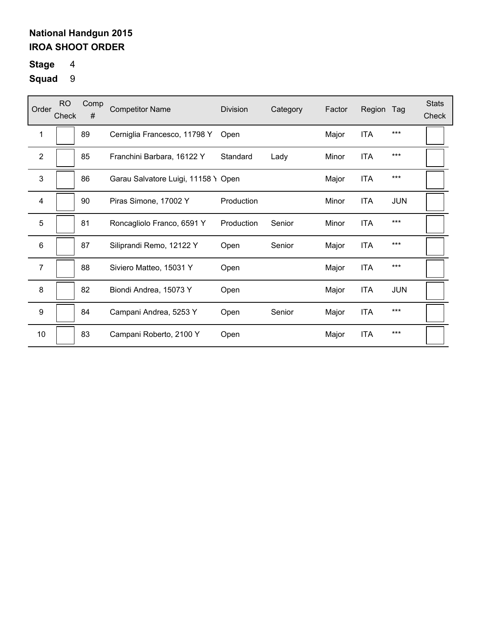# **Stage** 4

| Order            | <b>RO</b><br>Check | Comp<br># | <b>Competitor Name</b>              | <b>Division</b> | Category | Factor | Region     | Tag        | <b>Stats</b><br>Check |
|------------------|--------------------|-----------|-------------------------------------|-----------------|----------|--------|------------|------------|-----------------------|
| 1                |                    | 89        | Cerniglia Francesco, 11798 Y        | Open            |          | Major  | <b>ITA</b> | ***        |                       |
| $\overline{2}$   |                    | 85        | Franchini Barbara, 16122 Y          | Standard        | Lady     | Minor  | <b>ITA</b> | ***        |                       |
| 3                |                    | 86        | Garau Salvatore Luigi, 11158 Y Open |                 |          | Major  | <b>ITA</b> | ***        |                       |
| 4                |                    | 90        | Piras Simone, 17002 Y               | Production      |          | Minor  | <b>ITA</b> | <b>JUN</b> |                       |
| 5                |                    | 81        | Roncagliolo Franco, 6591 Y          | Production      | Senior   | Minor  | <b>ITA</b> | ***        |                       |
| 6                |                    | 87        | Siliprandi Remo, 12122 Y            | Open            | Senior   | Major  | <b>ITA</b> | ***        |                       |
| $\overline{7}$   |                    | 88        | Siviero Matteo, 15031 Y             | Open            |          | Major  | <b>ITA</b> | ***        |                       |
| 8                |                    | 82        | Biondi Andrea, 15073 Y              | Open            |          | Major  | <b>ITA</b> | <b>JUN</b> |                       |
| $\boldsymbol{9}$ |                    | 84        | Campani Andrea, 5253 Y              | Open            | Senior   | Major  | <b>ITA</b> | ***        |                       |
| 10               |                    | 83        | Campani Roberto, 2100 Y             | Open            |          | Major  | <b>ITA</b> | ***        |                       |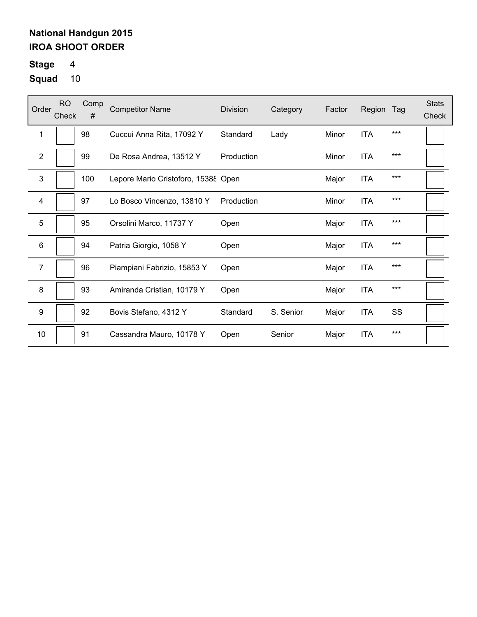# **Stage** 4

| Order          | <b>RO</b><br>Check | Comp<br># | <b>Competitor Name</b>              | <b>Division</b> | Category  | Factor | Region     | Tag | <b>Stats</b><br>Check |
|----------------|--------------------|-----------|-------------------------------------|-----------------|-----------|--------|------------|-----|-----------------------|
| 1              |                    | 98        | Cuccui Anna Rita, 17092 Y           | Standard        | Lady      | Minor  | <b>ITA</b> | *** |                       |
| $\overline{2}$ |                    | 99        | De Rosa Andrea, 13512 Y             | Production      |           | Minor  | <b>ITA</b> | *** |                       |
| 3              |                    | 100       | Lepore Mario Cristoforo, 15388 Open |                 |           | Major  | <b>ITA</b> | *** |                       |
| 4              |                    | 97        | Lo Bosco Vincenzo, 13810 Y          | Production      |           | Minor  | <b>ITA</b> | *** |                       |
| 5              |                    | 95        | Orsolini Marco, 11737 Y             | Open            |           | Major  | <b>ITA</b> | *** |                       |
| 6              |                    | 94        | Patria Giorgio, 1058 Y              | Open            |           | Major  | <b>ITA</b> | *** |                       |
| $\overline{7}$ |                    | 96        | Piampiani Fabrizio, 15853 Y         | Open            |           | Major  | <b>ITA</b> | *** |                       |
| 8              |                    | 93        | Amiranda Cristian, 10179 Y          | Open            |           | Major  | <b>ITA</b> | *** |                       |
| 9              |                    | 92        | Bovis Stefano, 4312 Y               | Standard        | S. Senior | Major  | <b>ITA</b> | SS  |                       |
| 10             |                    | 91        | Cassandra Mauro, 10178 Y            | Open            | Senior    | Major  | <b>ITA</b> | *** |                       |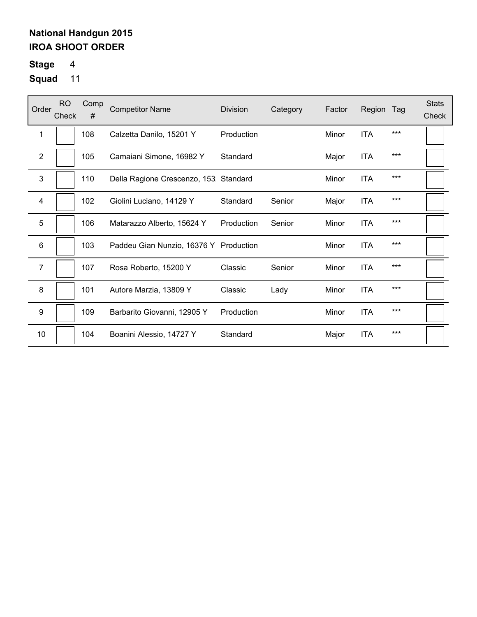# **Stage** 4

| Order            | <b>RO</b><br>Check | Comp<br># | <b>Competitor Name</b>                 | <b>Division</b> | Category | Factor | Region     | Tag   | <b>Stats</b><br>Check |
|------------------|--------------------|-----------|----------------------------------------|-----------------|----------|--------|------------|-------|-----------------------|
| 1                |                    | 108       | Calzetta Danilo, 15201 Y               | Production      |          | Minor  | <b>ITA</b> | ***   |                       |
| $\mathbf{2}$     |                    | 105       | Camaiani Simone, 16982 Y               | Standard        |          | Major  | <b>ITA</b> | ***   |                       |
| 3                |                    | 110       | Della Ragione Crescenzo, 153: Standard |                 |          | Minor  | <b>ITA</b> | $***$ |                       |
| 4                |                    | 102       | Giolini Luciano, 14129 Y               | Standard        | Senior   | Major  | <b>ITA</b> | ***   |                       |
| 5                |                    | 106       | Matarazzo Alberto, 15624 Y             | Production      | Senior   | Minor  | ITA        | ***   |                       |
| $\,6$            |                    | 103       | Paddeu Gian Nunzio, 16376 Y Production |                 |          | Minor  | <b>ITA</b> | ***   |                       |
| $\overline{7}$   |                    | 107       | Rosa Roberto, 15200 Y                  | Classic         | Senior   | Minor  | <b>ITA</b> | ***   |                       |
| 8                |                    | 101       | Autore Marzia, 13809 Y                 | Classic         | Lady     | Minor  | <b>ITA</b> | ***   |                       |
| $\boldsymbol{9}$ |                    | 109       | Barbarito Giovanni, 12905 Y            | Production      |          | Minor  | <b>ITA</b> | ***   |                       |
| 10               |                    | 104       | Boanini Alessio, 14727 Y               | Standard        |          | Major  | <b>ITA</b> | ***   |                       |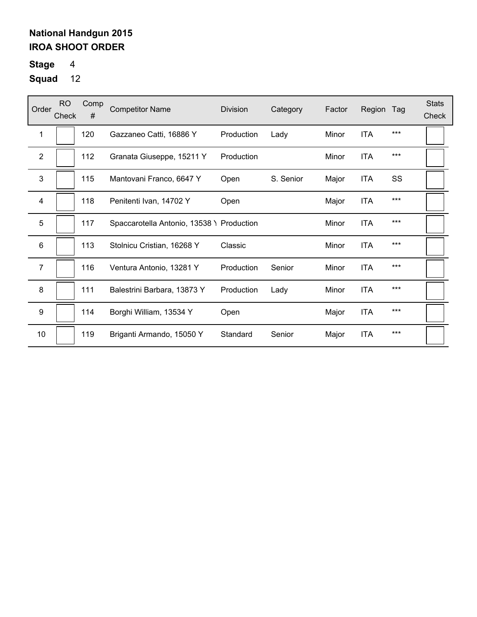# **Stage** 4

| Order          | RO.<br>Check | Comp<br># | <b>Competitor Name</b>                    | Division   | Category  | Factor | Region     | Tag   | <b>Stats</b><br>Check |
|----------------|--------------|-----------|-------------------------------------------|------------|-----------|--------|------------|-------|-----------------------|
| 1              |              | 120       | Gazzaneo Catti, 16886 Y                   | Production | Lady      | Minor  | <b>ITA</b> | ***   |                       |
| $\overline{2}$ |              | 112       | Granata Giuseppe, 15211 Y                 | Production |           | Minor  | <b>ITA</b> | $***$ |                       |
| 3              |              | 115       | Mantovani Franco, 6647 Y                  | Open       | S. Senior | Major  | <b>ITA</b> | SS    |                       |
| 4              |              | 118       | Penitenti Ivan, 14702 Y                   | Open       |           | Major  | <b>ITA</b> | $***$ |                       |
| 5              |              | 117       | Spaccarotella Antonio, 13538 \ Production |            |           | Minor  | <b>ITA</b> | $***$ |                       |
| 6              |              | 113       | Stolnicu Cristian, 16268 Y                | Classic    |           | Minor  | <b>ITA</b> | ***   |                       |
| $\overline{7}$ |              | 116       | Ventura Antonio, 13281 Y                  | Production | Senior    | Minor  | <b>ITA</b> | $***$ |                       |
| 8              |              | 111       | Balestrini Barbara, 13873 Y               | Production | Lady      | Minor  | <b>ITA</b> | $***$ |                       |
| 9              |              | 114       | Borghi William, 13534 Y                   | Open       |           | Major  | <b>ITA</b> | $***$ |                       |
| 10             |              | 119       | Briganti Armando, 15050 Y                 | Standard   | Senior    | Major  | <b>ITA</b> | $***$ |                       |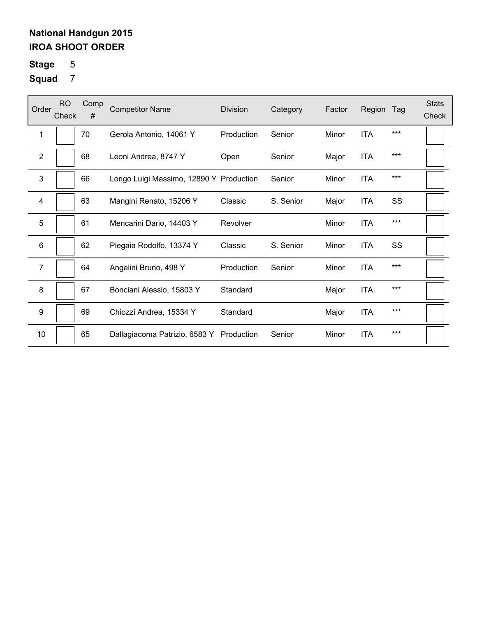# **Stage** 5

| Order            | <b>RO</b><br>Check | Comp<br># | <b>Competitor Name</b>                  | <b>Division</b> | Category  | Factor | Region     | Tag | <b>Stats</b><br>Check |
|------------------|--------------------|-----------|-----------------------------------------|-----------------|-----------|--------|------------|-----|-----------------------|
| 1                |                    | 70        | Gerola Antonio, 14061 Y                 | Production      | Senior    | Minor  | <b>ITA</b> | *** |                       |
| $\overline{2}$   |                    | 68        | Leoni Andrea, 8747 Y                    | Open            | Senior    | Major  | <b>ITA</b> | *** |                       |
| 3                |                    | 66        | Longo Luigi Massimo, 12890 Y Production |                 | Senior    | Minor  | <b>ITA</b> | *** |                       |
| 4                |                    | 63        | Mangini Renato, 15206 Y                 | Classic         | S. Senior | Major  | <b>ITA</b> | SS  |                       |
| 5                |                    | 61        | Mencarini Dario, 14403 Y                | Revolver        |           | Minor  | <b>ITA</b> | *** |                       |
| 6                |                    | 62        | Piegaia Rodolfo, 13374 Y                | Classic         | S. Senior | Minor  | <b>ITA</b> | SS  |                       |
| $\overline{7}$   |                    | 64        | Angelini Bruno, 498 Y                   | Production      | Senior    | Minor  | <b>ITA</b> | *** |                       |
| 8                |                    | 67        | Bonciani Alessio, 15803 Y               | Standard        |           | Major  | <b>ITA</b> | *** |                       |
| $\boldsymbol{9}$ |                    | 69        | Chiozzi Andrea, 15334 Y                 | Standard        |           | Major  | <b>ITA</b> | *** |                       |
| 10               |                    | 65        | Dallagiacoma Patrizio, 6583 Y           | Production      | Senior    | Minor  | <b>ITA</b> | *** |                       |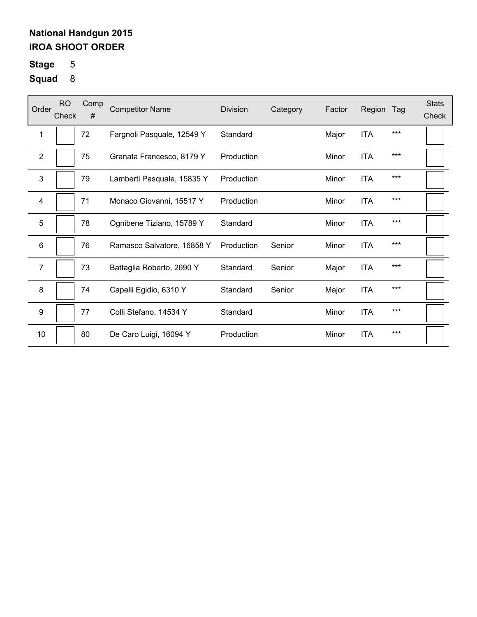# **Stage** 5

| Order            | <b>RO</b><br>Check | Comp<br># | <b>Competitor Name</b>     | <b>Division</b> | Category | Factor | Region     | Tag   | <b>Stats</b><br>Check |
|------------------|--------------------|-----------|----------------------------|-----------------|----------|--------|------------|-------|-----------------------|
| 1                |                    | 72        | Fargnoli Pasquale, 12549 Y | Standard        |          | Major  | <b>ITA</b> | $***$ |                       |
| $\mathbf{2}$     |                    | 75        | Granata Francesco, 8179 Y  | Production      |          | Minor  | <b>ITA</b> | $***$ |                       |
| 3                |                    | 79        | Lamberti Pasquale, 15835 Y | Production      |          | Minor  | <b>ITA</b> | $***$ |                       |
| 4                |                    | 71        | Monaco Giovanni, 15517 Y   | Production      |          | Minor  | <b>ITA</b> | $***$ |                       |
| 5                |                    | 78        | Ognibene Tiziano, 15789 Y  | Standard        |          | Minor  | <b>ITA</b> | $***$ |                       |
| 6                |                    | 76        | Ramasco Salvatore, 16858 Y | Production      | Senior   | Minor  | <b>ITA</b> | ***   |                       |
| $\overline{7}$   |                    | 73        | Battaglia Roberto, 2690 Y  | Standard        | Senior   | Major  | <b>ITA</b> | ***   |                       |
| 8                |                    | 74        | Capelli Egidio, 6310 Y     | Standard        | Senior   | Major  | <b>ITA</b> | $***$ |                       |
| $\boldsymbol{9}$ |                    | 77        | Colli Stefano, 14534 Y     | Standard        |          | Minor  | <b>ITA</b> | $***$ |                       |
| 10               |                    | 80        | De Caro Luigi, 16094 Y     | Production      |          | Minor  | <b>ITA</b> | $***$ |                       |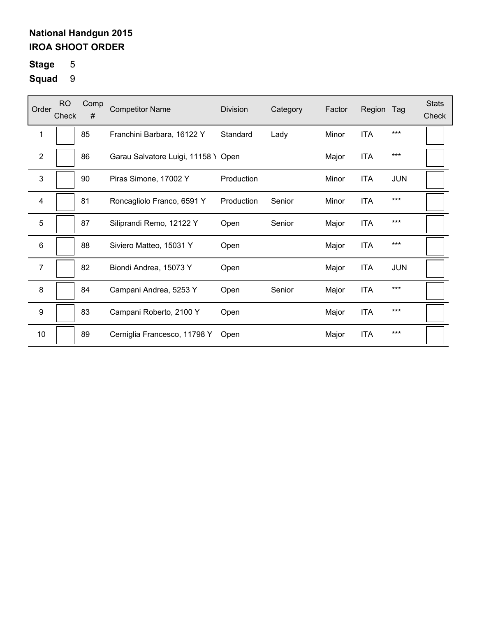# **Stage** 5

| Order            | <b>RO</b><br>Check | Comp<br># | <b>Competitor Name</b>              | <b>Division</b> | Category | Factor | Region     | Tag        | <b>Stats</b><br>Check |
|------------------|--------------------|-----------|-------------------------------------|-----------------|----------|--------|------------|------------|-----------------------|
| 1                |                    | 85        | Franchini Barbara, 16122 Y          | Standard        | Lady     | Minor  | <b>ITA</b> | ***        |                       |
| $\overline{2}$   |                    | 86        | Garau Salvatore Luigi, 11158 Y Open |                 |          | Major  | <b>ITA</b> | $***$      |                       |
| 3                |                    | 90        | Piras Simone, 17002 Y               | Production      |          | Minor  | <b>ITA</b> | <b>JUN</b> |                       |
| $\overline{4}$   |                    | 81        | Roncagliolo Franco, 6591 Y          | Production      | Senior   | Minor  | <b>ITA</b> | ***        |                       |
| 5                |                    | 87        | Siliprandi Remo, 12122 Y            | Open            | Senior   | Major  | <b>ITA</b> | ***        |                       |
| 6                |                    | 88        | Siviero Matteo, 15031 Y             | Open            |          | Major  | <b>ITA</b> | ***        |                       |
| 7                |                    | 82        | Biondi Andrea, 15073 Y              | Open            |          | Major  | <b>ITA</b> | <b>JUN</b> |                       |
| 8                |                    | 84        | Campani Andrea, 5253 Y              | Open            | Senior   | Major  | <b>ITA</b> | ***        |                       |
| $\boldsymbol{9}$ |                    | 83        | Campani Roberto, 2100 Y             | Open            |          | Major  | <b>ITA</b> | ***        |                       |
| 10               |                    | 89        | Cerniglia Francesco, 11798 Y        | Open            |          | Major  | <b>ITA</b> | ***        |                       |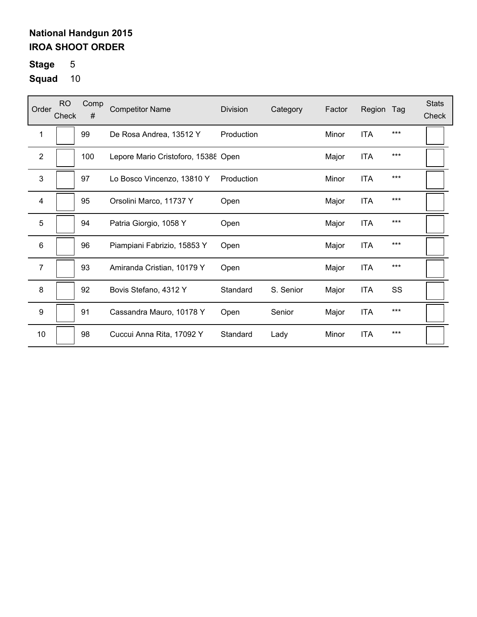**Stage** 5

| Order          | <b>RO</b><br>Check | Comp<br># | <b>Competitor Name</b>              | <b>Division</b> | Category  | Factor | Region     | Tag   | <b>Stats</b><br>Check |
|----------------|--------------------|-----------|-------------------------------------|-----------------|-----------|--------|------------|-------|-----------------------|
| 1              |                    | 99        | De Rosa Andrea, 13512 Y             | Production      |           | Minor  | <b>ITA</b> | $***$ |                       |
| $\mathbf{2}$   |                    | 100       | Lepore Mario Cristoforo, 15388 Open |                 |           | Major  | <b>ITA</b> | $***$ |                       |
| 3              |                    | 97        | Lo Bosco Vincenzo, 13810 Y          | Production      |           | Minor  | <b>ITA</b> | $***$ |                       |
| 4              |                    | 95        | Orsolini Marco, 11737 Y             | Open            |           | Major  | <b>ITA</b> | ***   |                       |
| 5              |                    | 94        | Patria Giorgio, 1058 Y              | Open            |           | Major  | <b>ITA</b> | $***$ |                       |
| 6              |                    | 96        | Piampiani Fabrizio, 15853 Y         | Open            |           | Major  | <b>ITA</b> | $***$ |                       |
| $\overline{7}$ |                    | 93        | Amiranda Cristian, 10179 Y          | Open            |           | Major  | <b>ITA</b> | $***$ |                       |
| 8              |                    | 92        | Bovis Stefano, 4312 Y               | Standard        | S. Senior | Major  | <b>ITA</b> | SS    |                       |
| 9              |                    | 91        | Cassandra Mauro, 10178 Y            | Open            | Senior    | Major  | <b>ITA</b> | $***$ |                       |
| 10             |                    | 98        | Cuccui Anna Rita, 17092 Y           | Standard        | Lady      | Minor  | <b>ITA</b> | $***$ |                       |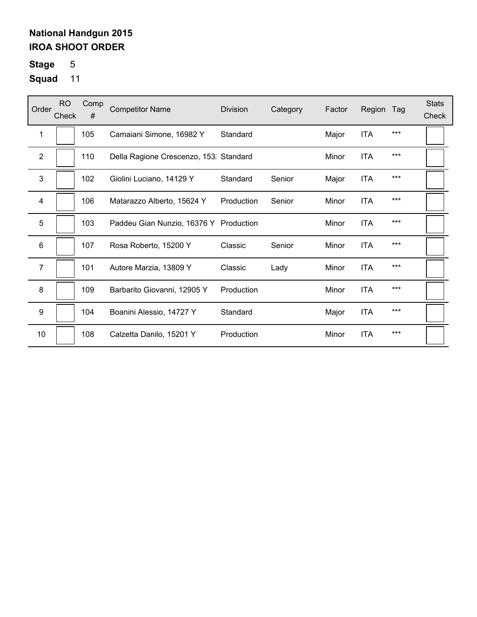# **Stage** 5

| Order            | <b>RO</b><br>Check | Comp<br># | <b>Competitor Name</b>                 | <b>Division</b> | Category | Factor | Region     | Tag   | <b>Stats</b><br>Check |
|------------------|--------------------|-----------|----------------------------------------|-----------------|----------|--------|------------|-------|-----------------------|
| 1                |                    | 105       | Camaiani Simone, 16982 Y               | Standard        |          | Major  | <b>ITA</b> | ***   |                       |
| $\mathbf{2}$     |                    | 110       | Della Ragione Crescenzo, 153: Standard |                 |          | Minor  | <b>ITA</b> | ***   |                       |
| 3                |                    | 102       | Giolini Luciano, 14129 Y               | Standard        | Senior   | Major  | <b>ITA</b> | $***$ |                       |
| 4                |                    | 106       | Matarazzo Alberto, 15624 Y             | Production      | Senior   | Minor  | <b>ITA</b> | ***   |                       |
| 5                |                    | 103       | Paddeu Gian Nunzio, 16376 Y Production |                 |          | Minor  | <b>ITA</b> | ***   |                       |
| $\,6\,$          |                    | 107       | Rosa Roberto, 15200 Y                  | Classic         | Senior   | Minor  | <b>ITA</b> | ***   |                       |
| $\overline{7}$   |                    | 101       | Autore Marzia, 13809 Y                 | Classic         | Lady     | Minor  | <b>ITA</b> | ***   |                       |
| 8                |                    | 109       | Barbarito Giovanni, 12905 Y            | Production      |          | Minor  | <b>ITA</b> | ***   |                       |
| $\boldsymbol{9}$ |                    | 104       | Boanini Alessio, 14727 Y               | Standard        |          | Major  | <b>ITA</b> | ***   |                       |
| 10               |                    | 108       | Calzetta Danilo, 15201 Y               | Production      |          | Minor  | <b>ITA</b> | ***   |                       |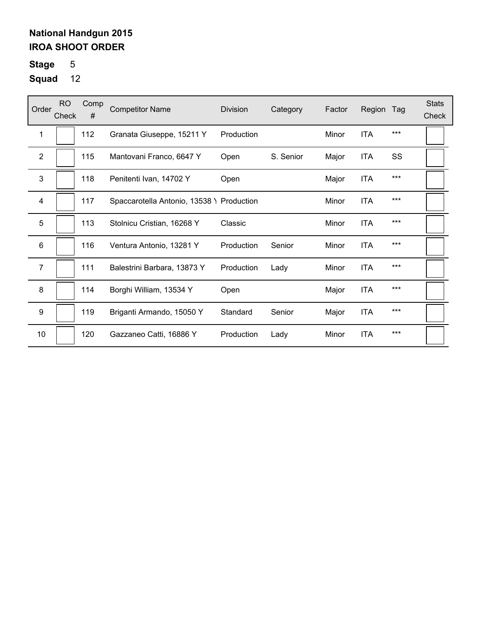**Stage** 5

| Order           | RO.<br>Check | Comp<br># | <b>Competitor Name</b>                    | Division   | Category  | Factor | Region     | Tag   | <b>Stats</b><br>Check |
|-----------------|--------------|-----------|-------------------------------------------|------------|-----------|--------|------------|-------|-----------------------|
| 1               |              | 112       | Granata Giuseppe, 15211 Y                 | Production |           | Minor  | <b>ITA</b> | ***   |                       |
| $\overline{2}$  |              | 115       | Mantovani Franco, 6647 Y                  | Open       | S. Senior | Major  | <b>ITA</b> | SS    |                       |
| 3               |              | 118       | Penitenti Ivan, 14702 Y                   | Open       |           | Major  | <b>ITA</b> | $***$ |                       |
| 4               |              | 117       | Spaccarotella Antonio, 13538 \ Production |            |           | Minor  | <b>ITA</b> | $***$ |                       |
| 5               |              | 113       | Stolnicu Cristian, 16268 Y                | Classic    |           | Minor  | <b>ITA</b> | $***$ |                       |
| $6\phantom{1}6$ |              | 116       | Ventura Antonio, 13281 Y                  | Production | Senior    | Minor  | <b>ITA</b> | $***$ |                       |
| $\overline{7}$  |              | 111       | Balestrini Barbara, 13873 Y               | Production | Lady      | Minor  | <b>ITA</b> | $***$ |                       |
| 8               |              | 114       | Borghi William, 13534 Y                   | Open       |           | Major  | <b>ITA</b> | $***$ |                       |
| 9               |              | 119       | Briganti Armando, 15050 Y                 | Standard   | Senior    | Major  | <b>ITA</b> | $***$ |                       |
| 10              |              | 120       | Gazzaneo Catti, 16886 Y                   | Production | Lady      | Minor  | <b>ITA</b> | $***$ |                       |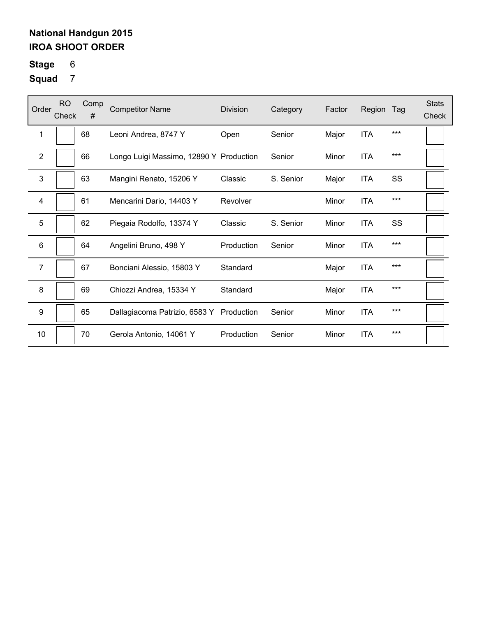# **Stage** 6

| Order                   | <b>RO</b><br>Check | Comp<br># | <b>Competitor Name</b>                  | <b>Division</b> | Category  | Factor | Region     | Tag | <b>Stats</b><br>Check |
|-------------------------|--------------------|-----------|-----------------------------------------|-----------------|-----------|--------|------------|-----|-----------------------|
| 1                       |                    | 68        | Leoni Andrea, 8747 Y                    | Open            | Senior    | Major  | <b>ITA</b> | *** |                       |
| $\overline{2}$          |                    | 66        | Longo Luigi Massimo, 12890 Y Production |                 | Senior    | Minor  | <b>ITA</b> | *** |                       |
| 3                       |                    | 63        | Mangini Renato, 15206 Y                 | Classic         | S. Senior | Major  | <b>ITA</b> | SS  |                       |
| $\overline{\mathbf{4}}$ |                    | 61        | Mencarini Dario, 14403 Y                | Revolver        |           | Minor  | <b>ITA</b> | *** |                       |
| 5                       |                    | 62        | Piegaia Rodolfo, 13374 Y                | Classic         | S. Senior | Minor  | <b>ITA</b> | SS  |                       |
| 6                       |                    | 64        | Angelini Bruno, 498 Y                   | Production      | Senior    | Minor  | <b>ITA</b> | *** |                       |
| $\overline{7}$          |                    | 67        | Bonciani Alessio, 15803 Y               | Standard        |           | Major  | <b>ITA</b> | *** |                       |
| 8                       |                    | 69        | Chiozzi Andrea, 15334 Y                 | Standard        |           | Major  | <b>ITA</b> | *** |                       |
| 9                       |                    | 65        | Dallagiacoma Patrizio, 6583 Y           | Production      | Senior    | Minor  | <b>ITA</b> | *** |                       |
| 10                      |                    | 70        | Gerola Antonio, 14061 Y                 | Production      | Senior    | Minor  | <b>ITA</b> | *** |                       |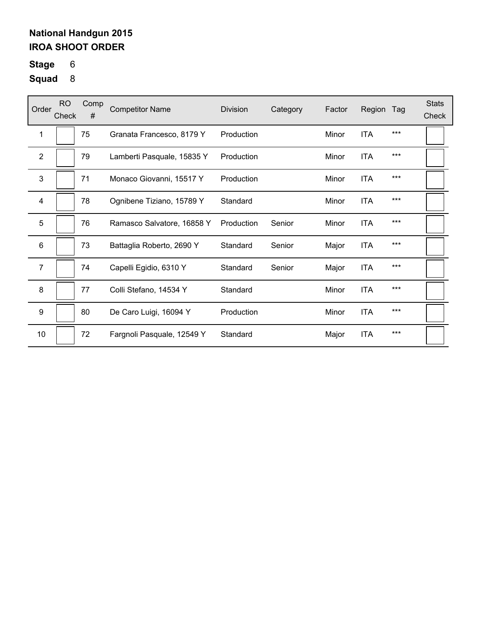# **Stage** 6

| Order            | <b>RO</b><br>Check | Comp<br># | <b>Competitor Name</b>     | Division   | Category | Factor | Region     | Tag   | <b>Stats</b><br>Check |
|------------------|--------------------|-----------|----------------------------|------------|----------|--------|------------|-------|-----------------------|
| 1                |                    | 75        | Granata Francesco, 8179 Y  | Production |          | Minor  | <b>ITA</b> | $***$ |                       |
| 2                |                    | 79        | Lamberti Pasquale, 15835 Y | Production |          | Minor  | <b>ITA</b> | $***$ |                       |
| 3                |                    | 71        | Monaco Giovanni, 15517 Y   | Production |          | Minor  | <b>ITA</b> | $***$ |                       |
| 4                |                    | 78        | Ognibene Tiziano, 15789 Y  | Standard   |          | Minor  | <b>ITA</b> | $***$ |                       |
| 5                |                    | 76        | Ramasco Salvatore, 16858 Y | Production | Senior   | Minor  | <b>ITA</b> | $***$ |                       |
| 6                |                    | 73        | Battaglia Roberto, 2690 Y  | Standard   | Senior   | Major  | <b>ITA</b> | ***   |                       |
| $\overline{7}$   |                    | 74        | Capelli Egidio, 6310 Y     | Standard   | Senior   | Major  | <b>ITA</b> | $***$ |                       |
| 8                |                    | 77        | Colli Stefano, 14534 Y     | Standard   |          | Minor  | <b>ITA</b> | $***$ |                       |
| $\boldsymbol{9}$ |                    | 80        | De Caro Luigi, 16094 Y     | Production |          | Minor  | <b>ITA</b> | $***$ |                       |
| 10               |                    | 72        | Fargnoli Pasquale, 12549 Y | Standard   |          | Major  | <b>ITA</b> | $***$ |                       |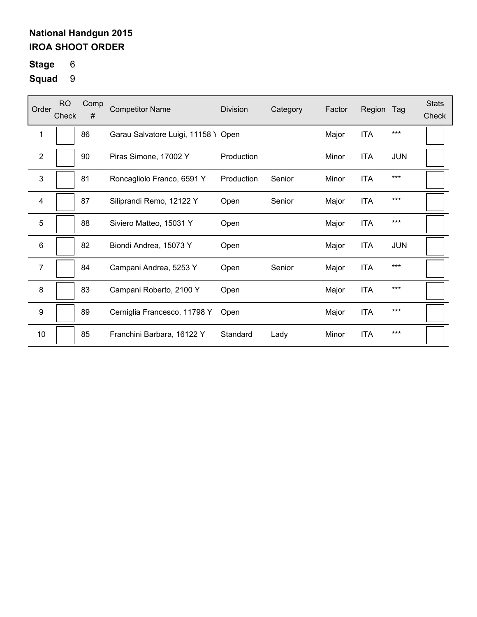# **Stage** 6

| Order            | RO.<br>Check | Comp<br># | <b>Competitor Name</b>              | <b>Division</b> | Category | Factor | Region     | Tag        | <b>Stats</b><br>Check |
|------------------|--------------|-----------|-------------------------------------|-----------------|----------|--------|------------|------------|-----------------------|
| 1                |              | 86        | Garau Salvatore Luigi, 11158 Y Open |                 |          | Major  | <b>ITA</b> | ***        |                       |
| $\overline{2}$   |              | 90        | Piras Simone, 17002 Y               | Production      |          | Minor  | <b>ITA</b> | <b>JUN</b> |                       |
| 3                |              | 81        | Roncagliolo Franco, 6591 Y          | Production      | Senior   | Minor  | <b>ITA</b> | ***        |                       |
| 4                |              | 87        | Siliprandi Remo, 12122 Y            | Open            | Senior   | Major  | <b>ITA</b> | $***$      |                       |
| 5                |              | 88        | Siviero Matteo, 15031 Y             | Open            |          | Major  | <b>ITA</b> | ***        |                       |
| $6\phantom{1}6$  |              | 82        | Biondi Andrea, 15073 Y              | Open            |          | Major  | <b>ITA</b> | <b>JUN</b> |                       |
| $\overline{7}$   |              | 84        | Campani Andrea, 5253 Y              | Open            | Senior   | Major  | <b>ITA</b> | ***        |                       |
| 8                |              | 83        | Campani Roberto, 2100 Y             | Open            |          | Major  | <b>ITA</b> | ***        |                       |
| $\boldsymbol{9}$ |              | 89        | Cerniglia Francesco, 11798 Y        | Open            |          | Major  | <b>ITA</b> | ***        |                       |
| 10               |              | 85        | Franchini Barbara, 16122 Y          | Standard        | Lady     | Minor  | <b>ITA</b> | ***        |                       |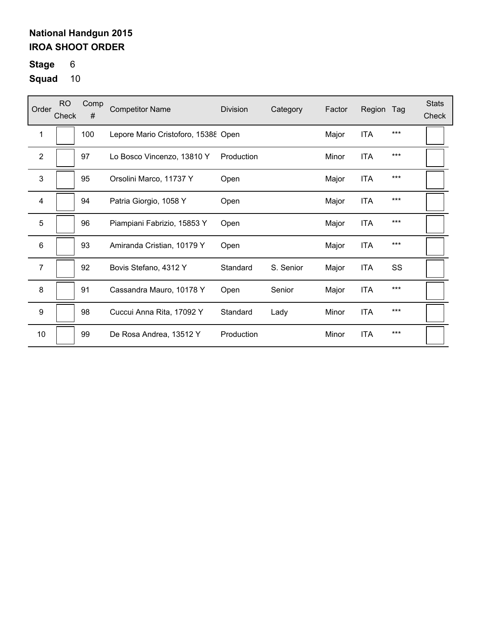**Stage** 6

| Order                   | <b>RO</b><br>Check | Comp<br># | <b>Competitor Name</b>              | Division   | Category  | Factor | Region     | Tag   | <b>Stats</b><br>Check |
|-------------------------|--------------------|-----------|-------------------------------------|------------|-----------|--------|------------|-------|-----------------------|
| 1                       |                    | 100       | Lepore Mario Cristoforo, 15388 Open |            |           | Major  | <b>ITA</b> | $***$ |                       |
| $\sqrt{2}$              |                    | 97        | Lo Bosco Vincenzo, 13810 Y          | Production |           | Minor  | <b>ITA</b> | $***$ |                       |
| 3                       |                    | 95        | Orsolini Marco, 11737 Y             | Open       |           | Major  | <b>ITA</b> | $***$ |                       |
| $\overline{\mathbf{4}}$ |                    | 94        | Patria Giorgio, 1058 Y              | Open       |           | Major  | <b>ITA</b> | $***$ |                       |
| 5                       |                    | 96        | Piampiani Fabrizio, 15853 Y         | Open       |           | Major  | <b>ITA</b> | $***$ |                       |
| $6\phantom{1}$          |                    | 93        | Amiranda Cristian, 10179 Y          | Open       |           | Major  | <b>ITA</b> | $***$ |                       |
| 7                       |                    | 92        | Bovis Stefano, 4312 Y               | Standard   | S. Senior | Major  | <b>ITA</b> | SS    |                       |
| 8                       |                    | 91        | Cassandra Mauro, 10178 Y            | Open       | Senior    | Major  | <b>ITA</b> | $***$ |                       |
| 9                       |                    | 98        | Cuccui Anna Rita, 17092 Y           | Standard   | Lady      | Minor  | <b>ITA</b> | ***   |                       |
| 10                      |                    | 99        | De Rosa Andrea, 13512 Y             | Production |           | Minor  | <b>ITA</b> | ***   |                       |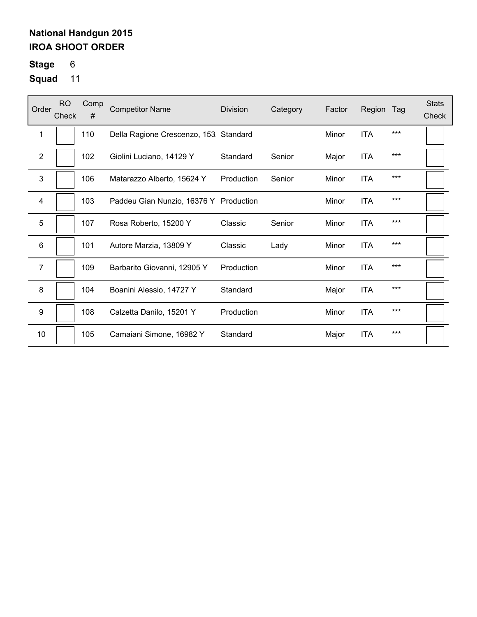# **Stage** 6

| Order            | <b>RO</b><br>Check | Comp<br># | <b>Competitor Name</b>                 | <b>Division</b> | Category | Factor | Region     | Tag   | <b>Stats</b><br>Check |
|------------------|--------------------|-----------|----------------------------------------|-----------------|----------|--------|------------|-------|-----------------------|
| 1                |                    | 110       | Della Ragione Crescenzo, 153. Standard |                 |          | Minor  | <b>ITA</b> | $***$ |                       |
| $\mathbf{2}$     |                    | 102       | Giolini Luciano, 14129 Y               | Standard        | Senior   | Major  | <b>ITA</b> | $***$ |                       |
| 3                |                    | 106       | Matarazzo Alberto, 15624 Y             | Production      | Senior   | Minor  | <b>ITA</b> | $***$ |                       |
| 4                |                    | 103       | Paddeu Gian Nunzio, 16376 Y Production |                 |          | Minor  | <b>ITA</b> | $***$ |                       |
| 5                |                    | 107       | Rosa Roberto, 15200 Y                  | Classic         | Senior   | Minor  | ITA        | $***$ |                       |
| 6                |                    | 101       | Autore Marzia, 13809 Y                 | Classic         | Lady     | Minor  | <b>ITA</b> | ***   |                       |
| $\overline{7}$   |                    | 109       | Barbarito Giovanni, 12905 Y            | Production      |          | Minor  | <b>ITA</b> | ***   |                       |
| 8                |                    | 104       | Boanini Alessio, 14727 Y               | Standard        |          | Major  | <b>ITA</b> | $***$ |                       |
| $\boldsymbol{9}$ |                    | 108       | Calzetta Danilo, 15201 Y               | Production      |          | Minor  | <b>ITA</b> | ***   |                       |
| 10               |                    | 105       | Camaiani Simone, 16982 Y               | Standard        |          | Major  | <b>ITA</b> | $***$ |                       |